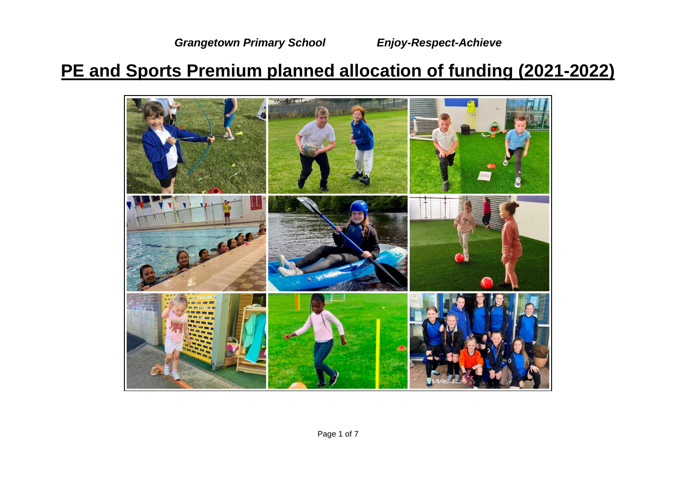*Grangetown Primary School Enjoy-Respect-Achieve*

## **PE and Sports Premium planned allocation of funding (2021-2022)**

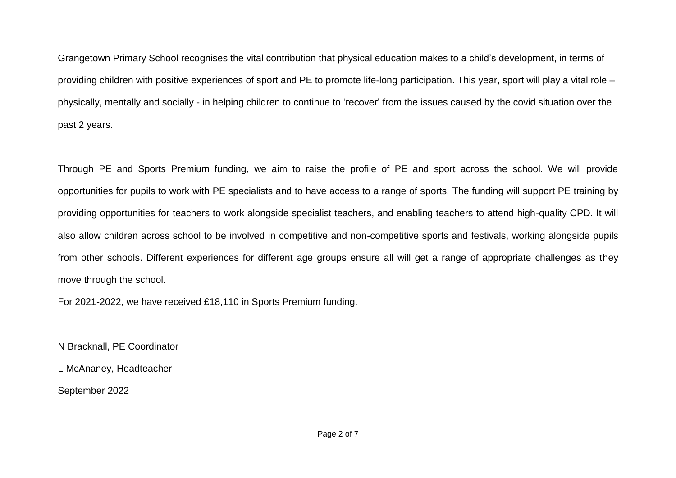Grangetown Primary School recognises the vital contribution that physical education makes to a child's development, in terms of providing children with positive experiences of sport and PE to promote life-long participation. This year, sport will play a vital role – physically, mentally and socially - in helping children to continue to 'recover' from the issues caused by the covid situation over the past 2 years.

Through PE and Sports Premium funding, we aim to raise the profile of PE and sport across the school. We will provide opportunities for pupils to work with PE specialists and to have access to a range of sports. The funding will support PE training by providing opportunities for teachers to work alongside specialist teachers, and enabling teachers to attend high-quality CPD. It will also allow children across school to be involved in competitive and non-competitive sports and festivals, working alongside pupils from other schools. Different experiences for different age groups ensure all will get a range of appropriate challenges as they move through the school.

For 2021-2022, we have received £18,110 in Sports Premium funding.

N Bracknall, PE Coordinator

L McAnaney, Headteacher

September 2022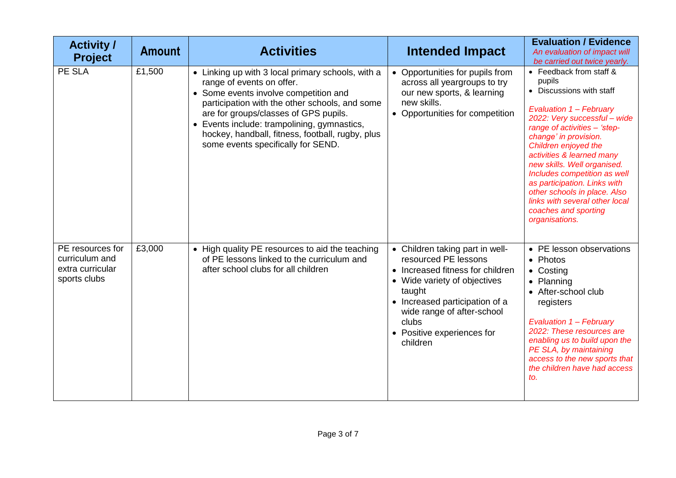| <b>Activity /</b><br><b>Project</b>                                    | <b>Amount</b> | <b>Activities</b>                                                                                                                                                                                                                                                                                                                                           | <b>Intended Impact</b>                                                                                                                                                                                                                                   | <b>Evaluation / Evidence</b><br>An evaluation of impact will<br>be carried out twice yearly.                                                                                                                                                                                                                                                                                                                                                      |
|------------------------------------------------------------------------|---------------|-------------------------------------------------------------------------------------------------------------------------------------------------------------------------------------------------------------------------------------------------------------------------------------------------------------------------------------------------------------|----------------------------------------------------------------------------------------------------------------------------------------------------------------------------------------------------------------------------------------------------------|---------------------------------------------------------------------------------------------------------------------------------------------------------------------------------------------------------------------------------------------------------------------------------------------------------------------------------------------------------------------------------------------------------------------------------------------------|
| PE SLA                                                                 | £1,500        | • Linking up with 3 local primary schools, with a<br>range of events on offer.<br>• Some events involve competition and<br>participation with the other schools, and some<br>are for groups/classes of GPS pupils.<br>• Events include: trampolining, gymnastics,<br>hockey, handball, fitness, football, rugby, plus<br>some events specifically for SEND. | • Opportunities for pupils from<br>across all yeargroups to try<br>our new sports, & learning<br>new skills.<br>• Opportunities for competition                                                                                                          | • Feedback from staff &<br>pupils<br>• Discussions with staff<br>Evaluation 1 - February<br>2022: Very successful - wide<br>range of activities - 'step-<br>change' in provision.<br>Children enjoyed the<br>activities & learned many<br>new skills. Well organised.<br>Includes competition as well<br>as participation. Links with<br>other schools in place. Also<br>links with several other local<br>coaches and sporting<br>organisations. |
| PE resources for<br>curriculum and<br>extra curricular<br>sports clubs | £3,000        | • High quality PE resources to aid the teaching<br>of PE lessons linked to the curriculum and<br>after school clubs for all children                                                                                                                                                                                                                        | • Children taking part in well-<br>resourced PE lessons<br>• Increased fitness for children<br>• Wide variety of objectives<br>taught<br>• Increased participation of a<br>wide range of after-school<br>clubs<br>• Positive experiences for<br>children | • PE lesson observations<br>• Photos<br>• Costing<br>• Planning<br>• After-school club<br>registers<br>Evaluation 1 - February<br>2022: These resources are<br>enabling us to build upon the<br>PE SLA, by maintaining<br>access to the new sports that<br>the children have had access<br>to.                                                                                                                                                    |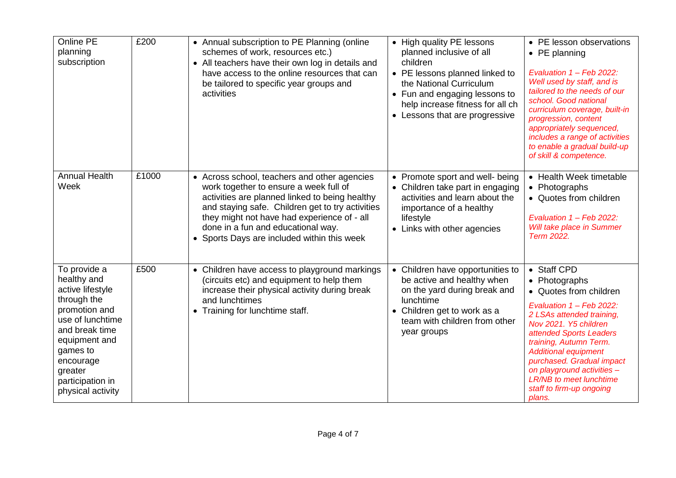| Online PE<br>planning<br>subscription                                                                                                                                                                               | £200  | • Annual subscription to PE Planning (online<br>schemes of work, resources etc.)<br>• All teachers have their own log in details and<br>have access to the online resources that can<br>be tailored to specific year groups and<br>activities                                                                                    | • High quality PE lessons<br>planned inclusive of all<br>children<br>• PE lessons planned linked to<br>the National Curriculum<br>• Fun and engaging lessons to<br>help increase fitness for all ch<br>• Lessons that are progressive | • PE lesson observations<br>$\bullet$ PE planning<br>Evaluation 1 - Feb 2022:<br>Well used by staff, and is<br>tailored to the needs of our<br>school. Good national<br>curriculum coverage, built-in<br>progression, content<br>appropriately sequenced,<br>includes a range of activities<br>to enable a gradual build-up<br>of skill & competence.           |
|---------------------------------------------------------------------------------------------------------------------------------------------------------------------------------------------------------------------|-------|----------------------------------------------------------------------------------------------------------------------------------------------------------------------------------------------------------------------------------------------------------------------------------------------------------------------------------|---------------------------------------------------------------------------------------------------------------------------------------------------------------------------------------------------------------------------------------|-----------------------------------------------------------------------------------------------------------------------------------------------------------------------------------------------------------------------------------------------------------------------------------------------------------------------------------------------------------------|
| <b>Annual Health</b><br>Week                                                                                                                                                                                        | £1000 | • Across school, teachers and other agencies<br>work together to ensure a week full of<br>activities are planned linked to being healthy<br>and staying safe. Children get to try activities<br>they might not have had experience of - all<br>done in a fun and educational way.<br>• Sports Days are included within this week | • Promote sport and well- being<br>• Children take part in engaging<br>activities and learn about the<br>importance of a healthy<br>lifestyle<br>• Links with other agencies                                                          | • Health Week timetable<br>• Photographs<br>• Quotes from children<br>Evaluation 1 - Feb 2022:<br>Will take place in Summer<br>Term 2022.                                                                                                                                                                                                                       |
| To provide a<br>healthy and<br>active lifestyle<br>through the<br>promotion and<br>use of lunchtime<br>and break time<br>equipment and<br>games to<br>encourage<br>greater<br>participation in<br>physical activity | £500  | • Children have access to playground markings<br>(circuits etc) and equipment to help them<br>increase their physical activity during break<br>and lunchtimes<br>• Training for lunchtime staff.                                                                                                                                 | • Children have opportunities to<br>be active and healthy when<br>on the yard during break and<br>lunchtime<br>• Children get to work as a<br>team with children from other<br>year groups                                            | • Staff CPD<br>• Photographs<br>• Quotes from children<br>Evaluation 1 - Feb 2022:<br>2 LSAs attended training,<br>Nov 2021. Y5 children<br>attended Sports Leaders<br>training, Autumn Term.<br><b>Additional equipment</b><br>purchased. Gradual impact<br>on playground activities -<br><b>LR/NB</b> to meet lunchtime<br>staff to firm-up ongoing<br>plans. |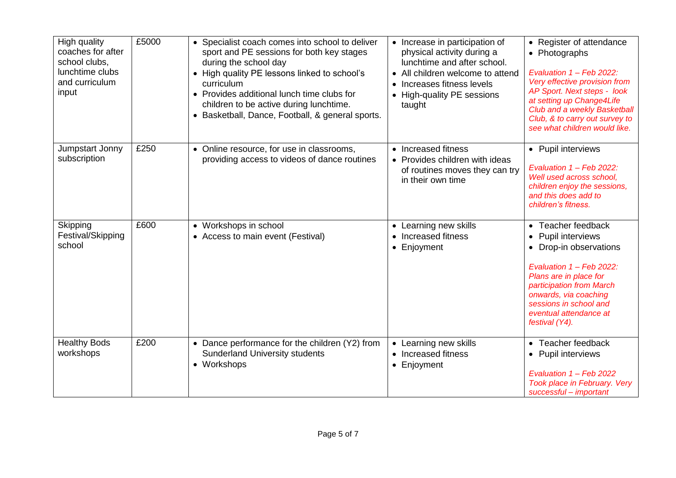| High quality<br>coaches for after<br>school clubs,<br>lunchtime clubs<br>and curriculum<br>input | £5000 | • Specialist coach comes into school to deliver<br>sport and PE sessions for both key stages<br>during the school day<br>• High quality PE lessons linked to school's<br>curriculum<br>• Provides additional lunch time clubs for<br>children to be active during lunchtime.<br>• Basketball, Dance, Football, & general sports. | • Increase in participation of<br>physical activity during a<br>lunchtime and after school.<br>• All children welcome to attend<br>Increases fitness levels<br>$\bullet$<br>• High-quality PE sessions<br>taught | • Register of attendance<br>• Photographs<br>Evaluation 1 - Feb 2022:<br>Very effective provision from<br>AP Sport. Next steps - look<br>at setting up Change4Life<br>Club and a weekly Basketball<br>Club, & to carry out survey to<br>see what children would like. |
|--------------------------------------------------------------------------------------------------|-------|----------------------------------------------------------------------------------------------------------------------------------------------------------------------------------------------------------------------------------------------------------------------------------------------------------------------------------|------------------------------------------------------------------------------------------------------------------------------------------------------------------------------------------------------------------|-----------------------------------------------------------------------------------------------------------------------------------------------------------------------------------------------------------------------------------------------------------------------|
| Jumpstart Jonny<br>subscription                                                                  | £250  | • Online resource, for use in classrooms,<br>providing access to videos of dance routines                                                                                                                                                                                                                                        | • Increased fitness<br>• Provides children with ideas<br>of routines moves they can try<br>in their own time                                                                                                     | • Pupil interviews<br>Evaluation 1 - Feb 2022:<br>Well used across school,<br>children enjoy the sessions,<br>and this does add to<br>children's fitness.                                                                                                             |
| Skipping<br>Festival/Skipping<br>school                                                          | £600  | • Workshops in school<br>• Access to main event (Festival)                                                                                                                                                                                                                                                                       | • Learning new skills<br>Increased fitness<br>$\bullet$<br>• Enjoyment                                                                                                                                           | • Teacher feedback<br>Pupil interviews<br>• Drop-in observations<br>Evaluation 1 - Feb 2022:<br>Plans are in place for<br>participation from March<br>onwards, via coaching<br>sessions in school and<br>eventual attendance at<br>festival (Y4).                     |
| <b>Healthy Bods</b><br>workshops                                                                 | £200  | • Dance performance for the children (Y2) from<br><b>Sunderland University students</b><br>• Workshops                                                                                                                                                                                                                           | Learning new skills<br>$\bullet$<br>• Increased fitness<br>• Enjoyment                                                                                                                                           | • Teacher feedback<br>• Pupil interviews<br>Evaluation 1 - Feb 2022<br>Took place in February. Very<br>successful - important                                                                                                                                         |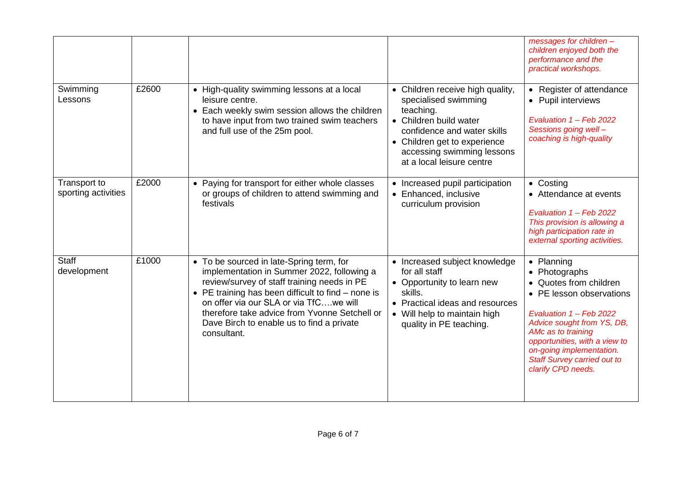|                                     |       |                                                                                                                                                                                                                                                                                                                                                      |                                                                                                                                                                                                                           | messages for children -<br>children enjoyed both the<br>performance and the<br>practical workshops.                                                                                                                                                                                       |
|-------------------------------------|-------|------------------------------------------------------------------------------------------------------------------------------------------------------------------------------------------------------------------------------------------------------------------------------------------------------------------------------------------------------|---------------------------------------------------------------------------------------------------------------------------------------------------------------------------------------------------------------------------|-------------------------------------------------------------------------------------------------------------------------------------------------------------------------------------------------------------------------------------------------------------------------------------------|
| Swimming<br>Lessons                 | £2600 | • High-quality swimming lessons at a local<br>leisure centre.<br>• Each weekly swim session allows the children<br>to have input from two trained swim teachers<br>and full use of the 25m pool.                                                                                                                                                     | • Children receive high quality,<br>specialised swimming<br>teaching.<br>• Children build water<br>confidence and water skills<br>• Children get to experience<br>accessing swimming lessons<br>at a local leisure centre | • Register of attendance<br>• Pupil interviews<br>Evaluation 1 - Feb 2022<br>Sessions going well-<br>coaching is high-quality                                                                                                                                                             |
| Transport to<br>sporting activities | £2000 | • Paying for transport for either whole classes<br>or groups of children to attend swimming and<br>festivals                                                                                                                                                                                                                                         | • Increased pupil participation<br>• Enhanced, inclusive<br>curriculum provision                                                                                                                                          | • Costing<br>• Attendance at events<br>Evaluation 1 - Feb 2022<br>This provision is allowing a<br>high participation rate in<br>external sporting activities.                                                                                                                             |
| <b>Staff</b><br>development         | £1000 | • To be sourced in late-Spring term, for<br>implementation in Summer 2022, following a<br>review/survey of staff training needs in PE<br>• PE training has been difficult to find $-$ none is<br>on offer via our SLA or via TfCwe will<br>therefore take advice from Yvonne Setchell or<br>Dave Birch to enable us to find a private<br>consultant. | • Increased subject knowledge<br>for all staff<br>• Opportunity to learn new<br>skills.<br>• Practical ideas and resources<br>• Will help to maintain high<br>quality in PE teaching.                                     | • Planning<br>• Photographs<br>• Quotes from children<br>• PE lesson observations<br>Evaluation 1 - Feb 2022<br>Advice sought from YS, DB,<br>AMc as to training<br>opportunities, with a view to<br>on-going implementation.<br><b>Staff Survey carried out to</b><br>clarify CPD needs. |